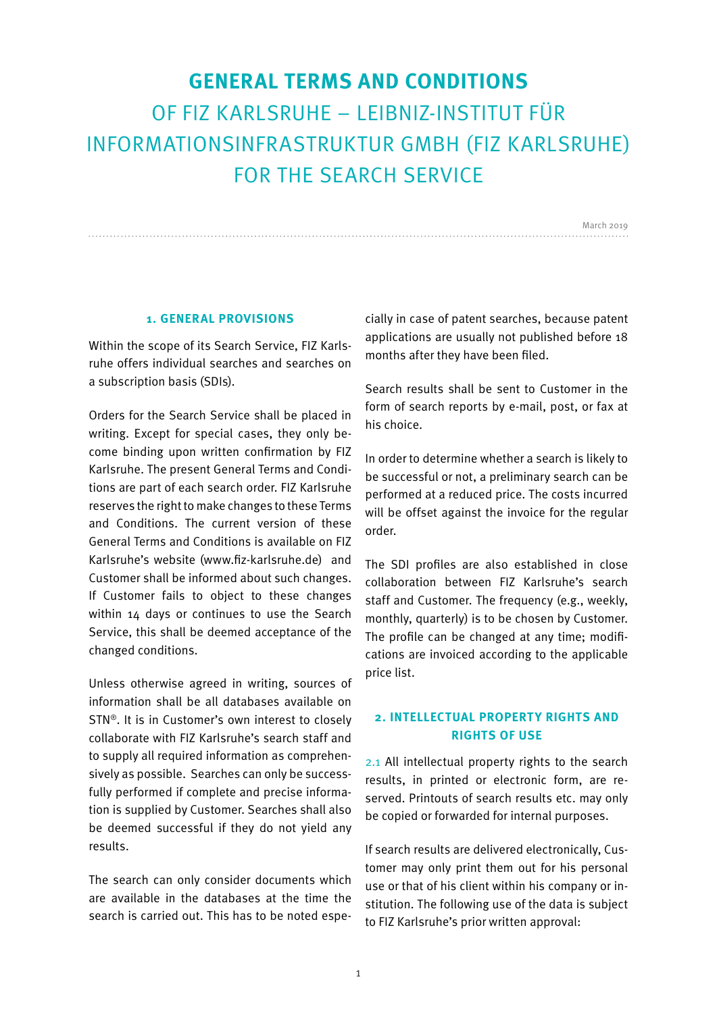# **GENERAL TERMS AND CONDITIONS**  OF FIZ KARLSRUHE – LEIBNIZ-INSTITUT FÜR INFORMATIONSINFRASTRUKTUR GMBH (FIZ KARLSRUHE) FOR THE SEARCH SERVICE

March 2019

#### **1. GENERAL PROVISIONS**

Within the scope of its Search Service, FIZ Karlsruhe offers individual searches and searches on a subscription basis (SDIs).

Orders for the Search Service shall be placed in writing. Except for special cases, they only become binding upon written confirmation by FIZ Karlsruhe. The present General Terms and Conditions are part of each search order. FIZ Karlsruhe reserves the right to make changes to these Terms and Conditions. The current version of these General Terms and Conditions is available on FIZ Karlsruhe's website (www.fiz-karlsruhe.de) and Customer shall be informed about such changes. If Customer fails to object to these changes within 14 days or continues to use the Search Service, this shall be deemed acceptance of the changed conditions.

Unless otherwise agreed in writing, sources of information shall be all databases available on STN®. It is in Customer's own interest to closely collaborate with FIZ Karlsruhe's search staff and to supply all required information as comprehensively as possible. Searches can only be successfully performed if complete and precise information is supplied by Customer. Searches shall also be deemed successful if they do not yield any results.

The search can only consider documents which are available in the databases at the time the search is carried out. This has to be noted especially in case of patent searches, because patent applications are usually not published before 18 months after they have been filed.

Search results shall be sent to Customer in the form of search reports by e-mail, post, or fax at his choice.

In order to determine whether a search is likely to be successful or not, a preliminary search can be performed at a reduced price. The costs incurred will be offset against the invoice for the regular order.

The SDI profiles are also established in close collaboration between FIZ Karlsruhe's search staff and Customer. The frequency (e.g., weekly, monthly, quarterly) is to be chosen by Customer. The profile can be changed at any time; modifications are invoiced according to the applicable price list.

# **2. INTELLECTUAL PROPERTY RIGHTS AND RIGHTS OF USE**

2.1 All intellectual property rights to the search results, in printed or electronic form, are reserved. Printouts of search results etc. may only be copied or forwarded for internal purposes.

If search results are delivered electronically, Customer may only print them out for his personal use or that of his client within his company or institution. The following use of the data is subject to FIZ Karlsruhe's prior written approval: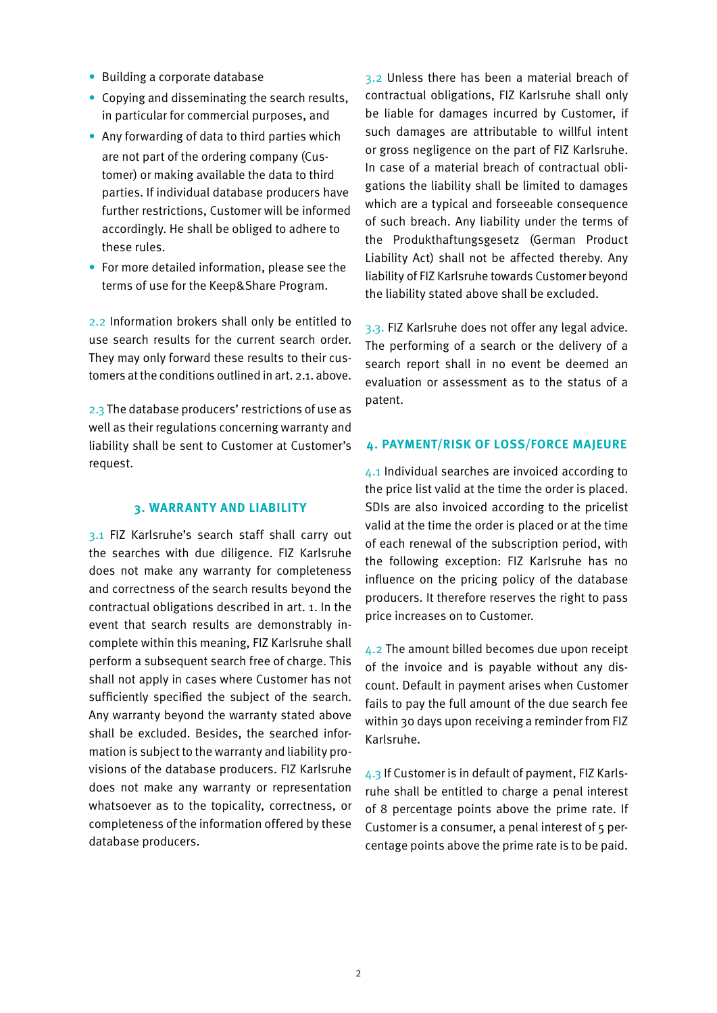- Building a corporate database
- Copying and disseminating the search results, in particular for commercial purposes, and
- Any forwarding of data to third parties which are not part of the ordering company (Customer) or making available the data to third parties. If individual database producers have further restrictions, Customer will be informed accordingly. He shall be obliged to adhere to these rules.
- For more detailed information, please see the terms of use for the Keep&Share Program.

2.2 Information brokers shall only be entitled to use search results for the current search order. They may only forward these results to their customers at the conditions outlined in art. 2.1. above.

2.3 The database producers' restrictions of use as well as their regulations concerning warranty and liability shall be sent to Customer at Customer's request.

## **3. WARRANTY AND LIABILITY**

3.1 FIZ Karlsruhe's search staff shall carry out the searches with due diligence. FIZ Karlsruhe does not make any warranty for completeness and correctness of the search results beyond the contractual obligations described in art. 1. In the event that search results are demonstrably incomplete within this meaning, FIZ Karlsruhe shall perform a subsequent search free of charge. This shall not apply in cases where Customer has not sufficiently specified the subject of the search. Any warranty beyond the warranty stated above shall be excluded. Besides, the searched information is subject to the warranty and liability provisions of the database producers. FIZ Karlsruhe does not make any warranty or representation whatsoever as to the topicality, correctness, or completeness of the information offered by these database producers.

3.2 Unless there has been a material breach of contractual obligations, FIZ Karlsruhe shall only be liable for damages incurred by Customer, if such damages are attributable to willful intent or gross negligence on the part of FIZ Karlsruhe. In case of a material breach of contractual obligations the liability shall be limited to damages which are a typical and forseeable consequence of such breach. Any liability under the terms of the Produkthaftungsgesetz (German Product Liability Act) shall not be affected thereby. Any liability of FIZ Karlsruhe towards Customer beyond the liability stated above shall be excluded.

3.3. FIZ Karlsruhe does not offer any legal advice. The performing of a search or the delivery of a search report shall in no event be deemed an evaluation or assessment as to the status of a patent.

#### **4. PAYMENT/RISK OF LOSS/FORCE MAJEURE**

4.1 Individual searches are invoiced according to the price list valid at the time the order is placed. SDIs are also invoiced according to the pricelist valid at the time the order is placed or at the time of each renewal of the subscription period, with the following exception: FIZ Karlsruhe has no influence on the pricing policy of the database producers. It therefore reserves the right to pass price increases on to Customer.

4.2 The amount billed becomes due upon receipt of the invoice and is payable without any discount. Default in payment arises when Customer fails to pay the full amount of the due search fee within 30 days upon receiving a reminder from FIZ Karlsruhe.

4.3 If Customer is in default of payment, FIZ Karlsruhe shall be entitled to charge a penal interest of 8 percentage points above the prime rate. If Customer is a consumer, a penal interest of 5 percentage points above the prime rate is to be paid.